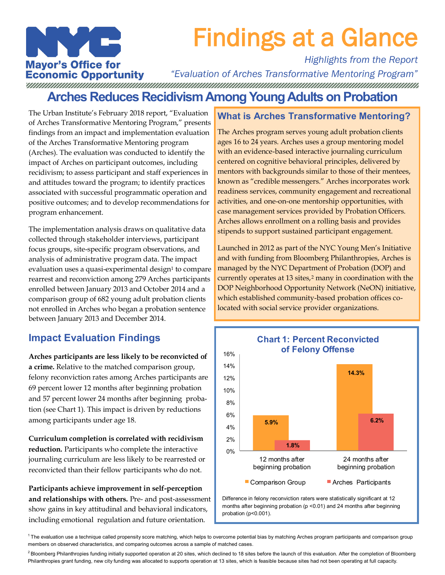

# Findings at a Glance

## *Highlights from the Report*

**Mayor's Office for** *"Evaluation of Arches Transformative Mentoring Program"*  **Economic Opportunity Arches Reduces Recidivism Among Young Adults on Probation** 

The Urban Institute's February 2018 report, "Evaluation of Arches Transformative Mentoring Program," presents findings from an impact and implementation evaluation of the Arches Transformative Mentoring program (Arches). The evaluation was conducted to identify the impact of Arches on participant outcomes, including recidivism; to assess participant and staff experiences in and attitudes toward the program; to identify practices associated with successful programmatic operation and positive outcomes; and to develop recommendations for program enhancement.

The implementation analysis draws on qualitative data collected through stakeholder interviews, participant focus groups, site-specific program observations, and analysis of administrative program data. The impact evaluation uses a quasi-experimental design<sup>1</sup> to compare rearrest and reconviction among 279 Arches participants enrolled between January 2013 and October 2014 and a comparison group of 682 young adult probation clients not enrolled in Arches who began a probation sentence between January 2013 and December 2014.

## **Impact Evaluation Findings**

**Arches participants are less likely to be reconvicted of a crime.** Relative to the matched comparison group, felony reconviction rates among Arches participants are 69 percent lower 12 months after beginning probation and 57 percent lower 24 months after beginning probation (see Chart 1). This impact is driven by reductions among participants under age 18.

**Curriculum completion is correlated with recidivism reduction.** Participants who complete the interactive journaling curriculum are less likely to be rearrested or reconvicted than their fellow participants who do not.

**Participants achieve improvement in self-perception and relationships with others.** Pre- and post-assessment show gains in key attitudinal and behavioral indicators, including emotional regulation and future orientation.

### **What is Arches Transformative Mentoring?**

The Arches program serves young adult probation clients ages 16 to 24 years. Arches uses a group mentoring model with an evidence-based interactive journaling curriculum centered on cognitive behavioral principles, delivered by mentors with backgrounds similar to those of their mentees, known as "credible messengers." Arches incorporates work readiness services, community engagement and recreational activities, and one-on-one mentorship opportunities, with case management services provided by Probation Officers. Arches allows enrollment on a rolling basis and provides stipends to support sustained participant engagement.

Launched in 2012 as part of the NYC Young Men's Initiative and with funding from Bloomberg Philanthropies, Arches is managed by the NYC Department of Probation (DOP) and currently operates at 13 sites,<sup>2</sup> many in coordination with the DOP Neighborhood Opportunity Network (NeON) initiative, which established community-based probation offices colocated with social service provider organizations.



Difference in felony reconviction raters were statistically significant at 12 months after beginning probation (p < 0.01) and 24 months after beginning probation (p<0.001).

 $1$ The evaluation use a technique called propensity score matching, which helps to overcome potential bias by matching Arches program participants and comparison group members on observed characteristics, and comparing outcomes across a sample of matched cases.

<sup>&</sup>lt;sup>2</sup> Bloomberg Philanthropies funding initially supported operation at 20 sites, which declined to 18 sites before the launch of this evaluation. After the completion of Bloomberg Philanthropies grant funding, new city funding was allocated to supports operation at 13 sites, which is feasible because sites had not been operating at full capacity.